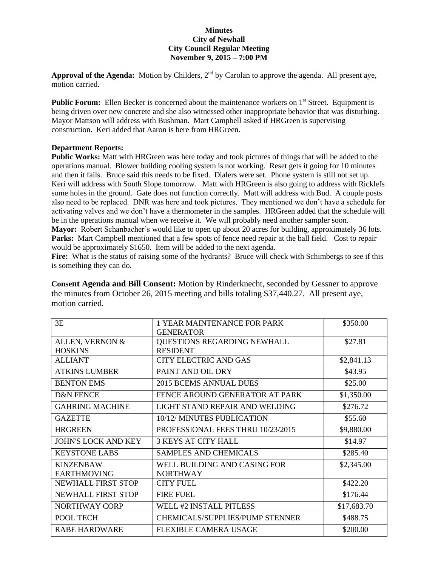## **Minutes City of Newhall City Council Regular Meeting November 9, 2015 – 7:00 PM**

Approval of the Agenda: Motion by Childers, 2<sup>nd</sup> by Carolan to approve the agenda. All present aye, motion carried.

**Public Forum:** Ellen Becker is concerned about the maintenance workers on 1<sup>st</sup> Street. Equipment is being driven over new concrete and she also witnessed other inappropriate behavior that was disturbing. Mayor Mattson will address with Bushman. Mart Campbell asked if HRGreen is supervising construction. Keri added that Aaron is here from HRGreen.

## **Department Reports:**

**Public Works:** Matt with HRGreen was here today and took pictures of things that will be added to the operations manual. Blower building cooling system is not working. Reset gets it going for 10 minutes and then it fails. Bruce said this needs to be fixed. Dialers were set. Phone system is still not set up. Keri will address with South Slope tomorrow. Matt with HRGreen is also going to address with Ricklefs some holes in the ground. Gate does not function correctly. Matt will address with Bud. A couple posts also need to be replaced. DNR was here and took pictures. They mentioned we don't have a schedule for activating valves and we don't have a thermometer in the samples. HRGreen added that the schedule will be in the operations manual when we receive it. We will probably need another sampler soon. **Mayor:** Robert Schanbacher's would like to open up about 20 acres for building, approximately 36 lots. **Parks:** Mart Campbell mentioned that a few spots of fence need repair at the ball field. Cost to repair would be approximately \$1650. Item will be added to the next agenda.

**Fire:** What is the status of raising some of the hydrants? Bruce will check with Schimbergs to see if this is something they can do.

**Consent Agenda and Bill Consent:** Motion by Rinderknecht, seconded by Gessner to approve the minutes from October 26, 2015 meeting and bills totaling \$37,440.27. All present aye, motion carried.

| 3E                         | <b>1 YEAR MAINTENANCE FOR PARK</b>     | \$350.00    |
|----------------------------|----------------------------------------|-------------|
|                            | <b>GENERATOR</b>                       |             |
| ALLEN, VERNON &            | <b>QUESTIONS REGARDING NEWHALL</b>     | \$27.81     |
| <b>HOSKINS</b>             | <b>RESIDENT</b>                        |             |
| <b>ALLIANT</b>             | CITY ELECTRIC AND GAS                  | \$2,841.13  |
| <b>ATKINS LUMBER</b>       | PAINT AND OIL DRY                      | \$43.95     |
| <b>BENTON EMS</b>          | 2015 BCEMS ANNUAL DUES                 | \$25.00     |
| <b>D&amp;N FENCE</b>       | FENCE AROUND GENERATOR AT PARK         | \$1,350.00  |
| <b>GAHRING MACHINE</b>     | LIGHT STAND REPAIR AND WELDING         | \$276.72    |
| <b>GAZETTE</b>             | 10/12/ MINUTES PUBLICATION             | \$55.60     |
| <b>HRGREEN</b>             | PROFESSIONAL FEES THRU 10/23/2015      | \$9,880.00  |
| <b>JOHN'S LOCK AND KEY</b> | <b>3 KEYS AT CITY HALL</b>             | \$14.97     |
| <b>KEYSTONE LABS</b>       | <b>SAMPLES AND CHEMICALS</b>           | \$285.40    |
| <b>KINZENBAW</b>           | WELL BUILDING AND CASING FOR           | \$2,345.00  |
| <b>EARTHMOVING</b>         | <b>NORTHWAY</b>                        |             |
| <b>NEWHALL FIRST STOP</b>  | <b>CITY FUEL</b>                       | \$422.20    |
| <b>NEWHALL FIRST STOP</b>  | <b>FIRE FUEL</b>                       | \$176.44    |
| NORTHWAY CORP              | <b>WELL #2 INSTALL PITLESS</b>         | \$17,683.70 |
| POOL TECH                  | <b>CHEMICALS/SUPPLIES/PUMP STENNER</b> | \$488.75    |
| <b>RABE HARDWARE</b>       | FLEXIBLE CAMERA USAGE                  | \$200.00    |